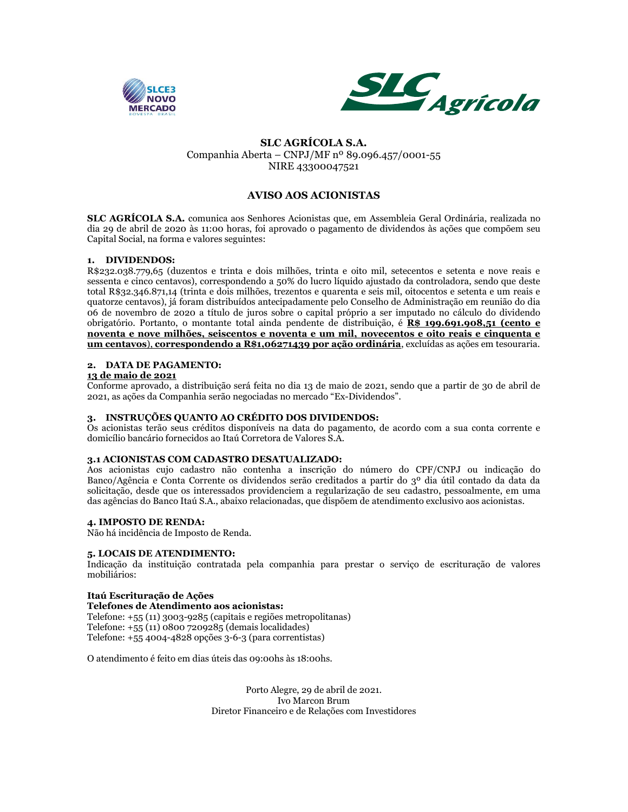



# **SLC AGRÍCOLA S.A.** Companhia Aberta – CNPJ/MF nº 89.096.457/0001-55 NIRE 43300047521

# **AVISO AOS ACIONISTAS**

**SLC AGRÍCOLA S.A.** comunica aos Senhores Acionistas que, em Assembleia Geral Ordinária, realizada no dia 29 de abril de 2020 às 11:00 horas, foi aprovado o pagamento de dividendos às ações que compõem seu Capital Social, na forma e valores seguintes:

## **1. DIVIDENDOS:**

R\$232.038.779,65 (duzentos e trinta e dois milhões, trinta e oito mil, setecentos e setenta e nove reais e sessenta e cinco centavos), correspondendo a 50% do lucro líquido ajustado da controladora, sendo que deste total R\$32.346.871,14 (trinta e dois milhões, trezentos e quarenta e seis mil, oitocentos e setenta e um reais e quatorze centavos), já foram distribuídos antecipadamente pelo Conselho de Administração em reunião do dia 06 de novembro de 2020 a título de juros sobre o capital próprio a ser imputado no cálculo do dividendo obrigatório. Portanto, o montante total ainda pendente de distribuição, é **R\$ 199.691.908,51 (cento e noventa e nove milhões, seiscentos e noventa e um mil, novecentos e oito reais e cinquenta e um centavos**), **correspondendo a R\$1,06271439 por ação ordinária**, excluídas as ações em tesouraria.

#### **2. DATA DE PAGAMENTO:**

#### **13 de maio de 2021**

Conforme aprovado, a distribuição será feita no dia 13 de maio de 2021, sendo que a partir de 30 de abril de 2021, as ações da Companhia serão negociadas no mercado "Ex-Dividendos".

### **3. INSTRUÇÕES QUANTO AO CRÉDITO DOS DIVIDENDOS:**

Os acionistas terão seus créditos disponíveis na data do pagamento, de acordo com a sua conta corrente e domicílio bancário fornecidos ao Itaú Corretora de Valores S.A.

#### **3.1 ACIONISTAS COM CADASTRO DESATUALIZADO:**

Aos acionistas cujo cadastro não contenha a inscrição do número do CPF/CNPJ ou indicação do Banco/Agência e Conta Corrente os dividendos serão creditados a partir do 3º dia útil contado da data da solicitação, desde que os interessados providenciem a regularização de seu cadastro, pessoalmente, em uma das agências do Banco Itaú S.A., abaixo relacionadas, que dispõem de atendimento exclusivo aos acionistas.

## **4. IMPOSTO DE RENDA:**

Não há incidência de Imposto de Renda.

#### **5. LOCAIS DE ATENDIMENTO:**

Indicação da instituição contratada pela companhia para prestar o serviço de escrituração de valores mobiliários:

#### **Itaú Escrituração de Ações Telefones de Atendimento aos acionistas:**

Telefone: +55 (11) 3003-9285 (capitais e regiões metropolitanas) Telefone: +55 (11) 0800 7209285 (demais localidades) Telefone: +55 4004-4828 opções 3-6-3 (para correntistas)

O atendimento é feito em dias úteis das 09:00hs às 18:00hs.

Porto Alegre, 29 de abril de 2021. Ivo Marcon Brum Diretor Financeiro e de Relações com Investidores